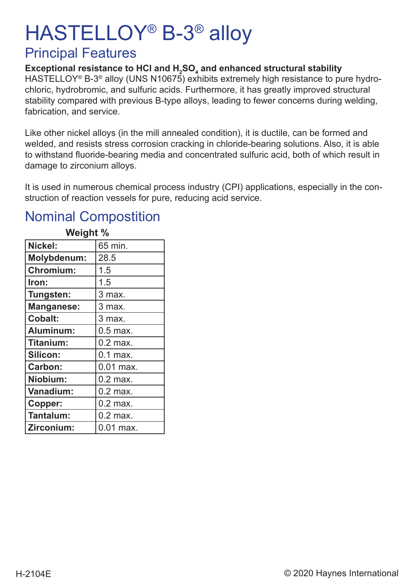# HASTELLOY® B-3® alloy

### Principal Features

Exceptional resistance to HCl and H<sub>2</sub>SO<sub>4</sub> and enhanced structural stability

HASTELLOY<sup>®</sup> B-3<sup>®</sup> alloy (UNS N10675) exhibits extremely high resistance to pure hydrochloric, hydrobromic, and sulfuric acids. Furthermore, it has greatly improved structural stability compared with previous B-type alloys, leading to fewer concerns during welding, fabrication, and service.

Like other nickel alloys (in the mill annealed condition), it is ductile, can be formed and welded, and resists stress corrosion cracking in chloride-bearing solutions. Also, it is able to withstand fluoride-bearing media and concentrated sulfuric acid, both of which result in damage to zirconium alloys.

It is used in numerous chemical process industry (CPI) applications, especially in the construction of reaction vessels for pure, reducing acid service.

### Nominal Compostition

| vvelgnt ‰         |            |
|-------------------|------------|
| Nickel:           | 65 min.    |
| Molybdenum:       | 28.5       |
| <b>Chromium:</b>  | 1.5        |
| Iron:             | 1.5        |
| Tungsten:         | 3 max.     |
| <b>Manganese:</b> | 3 max.     |
| <b>Cobalt:</b>    | 3 max.     |
| Aluminum:         | 0.5 max.   |
| Titanium:         | 0.2 max.   |
| Silicon:          | $0.1$ max. |
| Carbon:           | 0.01 max.  |
| Niobium:          | $0.2$ max. |
| <b>Vanadium:</b>  | $0.2$ max. |
| Copper:           | $0.2$ max. |
| Tantalum:         | $0.2$ max. |
| Zirconium:        | 0.01 max.  |

## **Weight 0/**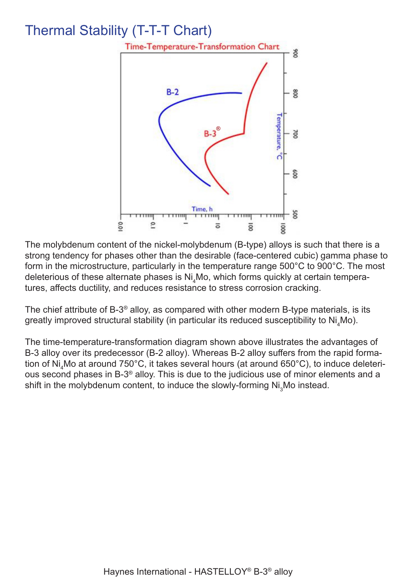## Thermal Stability (T-T-T Chart)



The molybdenum content of the nickel-molybdenum (B-type) alloys is such that there is a strong tendency for phases other than the desirable (face-centered cubic) gamma phase to form in the microstructure, particularly in the temperature range 500°C to 900°C. The most deleterious of these alternate phases is  $\mathsf{Ni}_{\scriptscriptstyle{4}}\mathsf{Mo},$  which forms quickly at certain temperatures, affects ductility, and reduces resistance to stress corrosion cracking.

The chief attribute of B-3® alloy, as compared with other modern B-type materials, is its greatly improved structural stability (in particular its reduced susceptibility to  $\mathsf{Ni}_{\scriptscriptstyle{4}}\mathsf{Mo}$ ).

The time-temperature-transformation diagram shown above illustrates the advantages of B-3 alloy over its predecessor (B-2 alloy). Whereas B-2 alloy suffers from the rapid formation of Ni $_4$ Mo at around 750°C, it takes several hours (at around 650°C), to induce deleterious second phases in B-3® alloy. This is due to the judicious use of minor elements and a shift in the molybdenum content, to induce the slowly-forming  $\mathsf{Ni}_{\overline{3}}\mathsf{Mo}\xspace$  instead.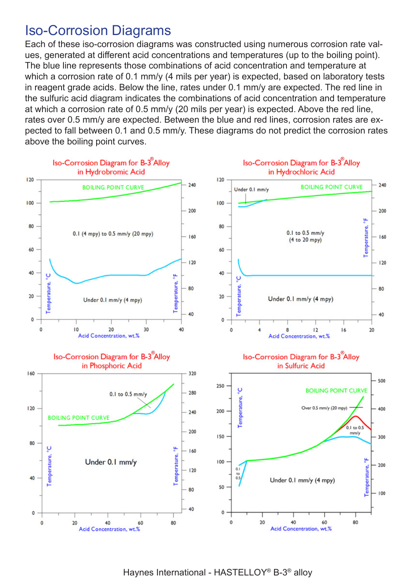### Iso-Corrosion Diagrams

Each of these iso-corrosion diagrams was constructed using numerous corrosion rate values, generated at different acid concentrations and temperatures (up to the boiling point). The blue line represents those combinations of acid concentration and temperature at which a corrosion rate of 0.1 mm/y (4 mils per year) is expected, based on laboratory tests in reagent grade acids. Below the line, rates under 0.1 mm/y are expected. The red line in the sulfuric acid diagram indicates the combinations of acid concentration and temperature at which a corrosion rate of 0.5 mm/y (20 mils per year) is expected. Above the red line, rates over 0.5 mm/y are expected. Between the blue and red lines, corrosion rates are expected to fall between 0.1 and 0.5 mm/y. These diagrams do not predict the corrosion rates above the boiling point curves.



Haynes International - HASTELLOY® B-3® alloy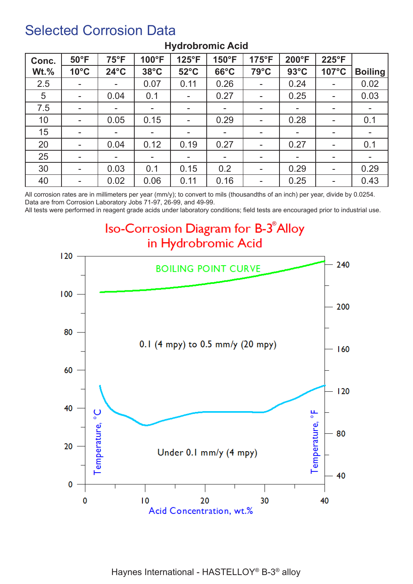### Selected Corrosion Data

| Conc.   | $50^{\circ}$ F           | $75^{\circ}F$            | 100°F                    | 125°F          | 150°F          | $175^{\circ}F$           | 200°F          | 225°F                    |                |
|---------|--------------------------|--------------------------|--------------------------|----------------|----------------|--------------------------|----------------|--------------------------|----------------|
| $Wt.\%$ | $10^{\circ}$ C           | $24^{\circ}$ C           | $38^{\circ}$ C           | $52^{\circ}$ C | $66^{\circ}$ C | $79^{\circ}$ C           | $93^{\circ}$ C | 107°C                    | <b>Boiling</b> |
| 2.5     | $\blacksquare$           | $\overline{\phantom{a}}$ | 0.07                     | 0.11           | 0.26           | $\blacksquare$           | 0.24           | $\blacksquare$           | 0.02           |
| 5       | $\blacksquare$           | 0.04                     | 0.1                      | $\blacksquare$ | 0.27           | $\blacksquare$           | 0.25           | $\blacksquare$           | 0.03           |
| 7.5     | ۰                        | $\overline{\phantom{a}}$ |                          |                |                | $\blacksquare$           |                | ۰                        |                |
| 10      | $\blacksquare$           | 0.05                     | 0.15                     | $\blacksquare$ | 0.29           | $\blacksquare$           | 0.28           | ۰                        | 0.1            |
| 15      | $\blacksquare$           | $\overline{\phantom{a}}$ | $\overline{\phantom{a}}$ | $\blacksquare$ | н.             | $\blacksquare$           |                | ۰                        |                |
| 20      | $\overline{\phantom{a}}$ | 0.04                     | 0.12                     | 0.19           | 0.27           | $\blacksquare$           | 0.27           | $\sim$                   | 0.1            |
| 25      | ۰                        |                          | $\overline{\phantom{a}}$ |                |                | $\blacksquare$           |                | $\overline{\phantom{a}}$ |                |
| 30      | $\overline{\phantom{a}}$ | 0.03                     | 0.1                      | 0.15           | 0.2            | $\blacksquare$           | 0.29           | $\sim$                   | 0.29           |
| 40      | ۰.                       | 0.02                     | 0.06                     | 0.11           | 0.16           | $\overline{\phantom{a}}$ | 0.25           | $\overline{\phantom{a}}$ | 0.43           |

#### **Hydrobromic Acid**

All corrosion rates are in millimeters per year (mm/y); to convert to mils (thousandths of an inch) per year, divide by 0.0254. Data are from Corrosion Laboratory Jobs 71-97, 26-99, and 49-99.

All tests were performed in reagent grade acids under laboratory conditions; field tests are encouraged prior to industrial use.

**Iso-Corrosion Diagram for B-3<sup>®</sup>Alloy** in Hydrobromic Acid

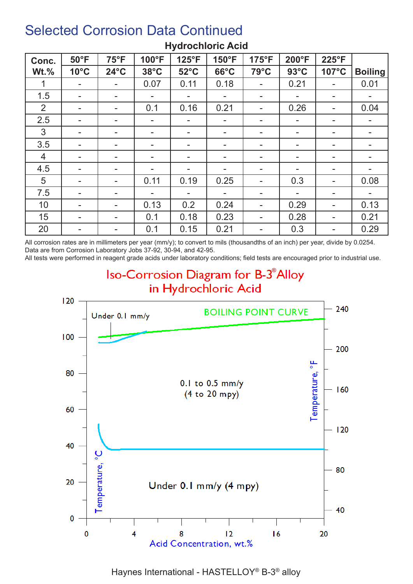## Selected Corrosion Data Continued

| Conc.          | $50^{\circ}$ F           | $75^{\circ}F$            | 100°F                    | $125^{\circ}F$           | 150°F                    | $175^{\circ}F$ | 200°F                    | 225°F                    |                |
|----------------|--------------------------|--------------------------|--------------------------|--------------------------|--------------------------|----------------|--------------------------|--------------------------|----------------|
| $Wt.\%$        | $10^{\circ}$ C           | $24^{\circ}$ C           | $38^{\circ}$ C           | $52^{\circ}$ C           | $66^{\circ}$ C           | 79°C           | $93^{\circ}$ C           | 107°C                    | <b>Boiling</b> |
|                | -                        |                          | 0.07                     | 0.11                     | 0.18                     | $\blacksquare$ | 0.21                     | ۰                        | 0.01           |
| 1.5            | $\overline{\phantom{a}}$ |                          | ۰.                       |                          |                          | $\blacksquare$ |                          |                          |                |
| $\overline{2}$ | ۰                        | $\overline{\phantom{a}}$ | 0.1                      | 0.16                     | 0.21                     | $\,$           | 0.26                     | ۰                        | 0.04           |
| 2.5            | ۰                        | $\overline{\phantom{a}}$ | ۰.                       |                          | $\overline{\phantom{a}}$ | $\blacksquare$ | $\overline{\phantom{a}}$ | $\overline{\phantom{a}}$ |                |
| 3              | Ξ.                       | $\overline{\phantom{a}}$ | $\overline{\phantom{a}}$ | $\overline{\phantom{a}}$ | ۰                        | $\blacksquare$ | ۰                        | $\overline{\phantom{a}}$ |                |
| 3.5            | ۰                        | $\overline{\phantom{a}}$ | ۰.                       |                          | ۰                        | $\blacksquare$ | -                        | ۰                        |                |
| 4              | $\overline{\phantom{a}}$ | ۰                        | ۰.                       | $\overline{\phantom{a}}$ | -                        | $\blacksquare$ | $\overline{\phantom{a}}$ | ۰.                       |                |
| 4.5            | ۰                        | $\overline{\phantom{a}}$ | $\overline{\phantom{a}}$ |                          |                          | $\blacksquare$ | ۰                        | ۰.                       |                |
| 5              | ۰                        |                          | 0.11                     | 0.19                     | 0.25                     | $\blacksquare$ | 0.3                      | ۰                        | 0.08           |
| 7.5            | ۰                        |                          | $\blacksquare$           |                          |                          | $\blacksquare$ |                          | ۰                        |                |
| 10             | $\blacksquare$           | $\blacksquare$           | 0.13                     | 0.2                      | 0.24                     | $\blacksquare$ | 0.29                     | ۰                        | 0.13           |
| 15             | ۰                        | $\overline{\phantom{a}}$ | 0.1                      | 0.18                     | 0.23                     | $\blacksquare$ | 0.28                     | ۰                        | 0.21           |
| 20             | $\blacksquare$           | $\overline{\phantom{a}}$ | 0.1                      | 0.15                     | 0.21                     | $\blacksquare$ | 0.3                      | ۰.                       | 0.29           |

#### **Hydrochloric Acid**

All corrosion rates are in millimeters per year (mm/y); to convert to mils (thousandths of an inch) per year, divide by 0.0254. Data are from Corrosion Laboratory Jobs 37-92, 30-94, and 42-95.

All tests were performed in reagent grade acids under laboratory conditions; field tests are encouraged prior to industrial use.

### **Iso-Corrosion Diagram for B-3<sup>®</sup> Alloy** in Hydrochloric Acid



Haynes International - HASTELLOY® B-3® alloy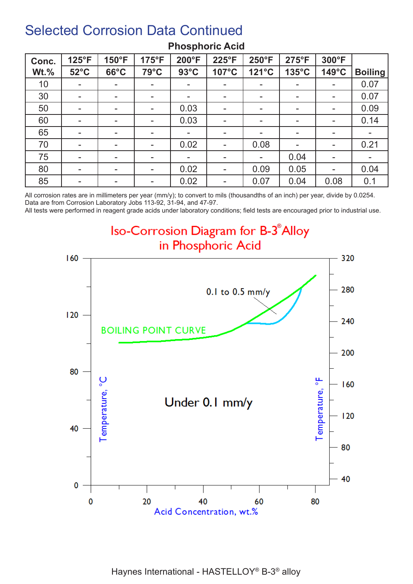### Selected Corrosion Data Continued

| Conc.   | $125^{\circ}F$           | $150^{\circ}F$           | $175^{\circ}F$           | 200°F          | $225^{\circ}F$           | $250^{\circ}F$           | $275^{\circ}F$  | 300°F                    |                |
|---------|--------------------------|--------------------------|--------------------------|----------------|--------------------------|--------------------------|-----------------|--------------------------|----------------|
| $Wt.\%$ | $52^{\circ}$ C           | $66^{\circ}$ C           | 79°C                     | $93^{\circ}$ C | 107°C                    | 121°C                    | $135^{\circ}$ C | 149°C                    | <b>Boiling</b> |
| 10      | $\overline{\phantom{a}}$ | $\overline{\phantom{a}}$ | $\sim$                   | $\,$           | $\overline{\phantom{a}}$ | $\blacksquare$           | -               | $\sim$                   | 0.07           |
| 30      | $\blacksquare$           |                          |                          |                | -                        | $\blacksquare$           |                 | $\overline{\phantom{a}}$ | 0.07           |
| 50      | $\overline{\phantom{a}}$ | $\overline{\phantom{a}}$ | $\overline{\phantom{a}}$ | 0.03           | ۰                        | $\blacksquare$           | ۰.              | ۰                        | 0.09           |
| 60      | $\sim$                   | $\overline{\phantom{a}}$ | н.                       | 0.03           | $\overline{\phantom{a}}$ | $\overline{\phantom{a}}$ | ۰               | $\blacksquare$           | 0.14           |
| 65      | $\blacksquare$           | $\,$                     |                          | $\,$           |                          | $\blacksquare$           |                 | ۰                        |                |
| 70      | ۰                        | $\overline{\phantom{a}}$ | $\overline{\phantom{a}}$ | 0.02           | $\overline{\phantom{a}}$ | 0.08                     | ۰               | ۰                        | 0.21           |
| 75      | $\blacksquare$           | $\overline{\phantom{a}}$ | $\overline{\phantom{a}}$ |                | -                        | $\overline{\phantom{a}}$ | 0.04            | $\blacksquare$           |                |
| 80      | $\blacksquare$           | $\,$                     | $\overline{\phantom{a}}$ | 0.02           | $\overline{\phantom{a}}$ | 0.09                     | 0.05            | $\sim$                   | 0.04           |
| 85      | $\blacksquare$           | $\overline{\phantom{a}}$ | $\overline{\phantom{a}}$ | 0.02           | ۰                        | 0.07                     | 0.04            | 0.08                     | 0.1            |

#### **Phosphoric Acid**

All corrosion rates are in millimeters per year (mm/y); to convert to mils (thousandths of an inch) per year, divide by 0.0254. Data are from Corrosion Laboratory Jobs 113-92, 31-94, and 47-97.

All tests were performed in reagent grade acids under laboratory conditions; field tests are encouraged prior to industrial use.

**Iso-Corrosion Diagram for B-3<sup>®</sup>Alloy** in Phosphoric Acid

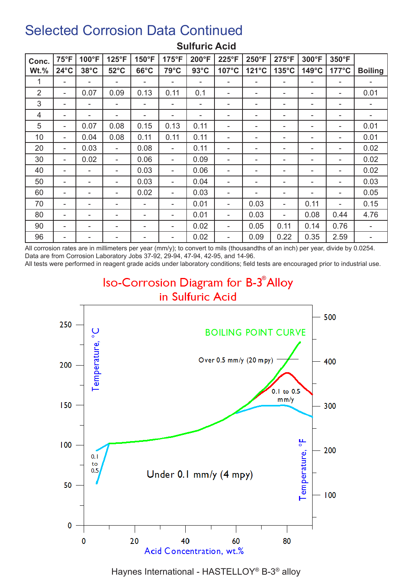### Selected Corrosion Data Continued

| Conc.          | $75^{\circ}F$  | 100°F          | 125°F          | 150°F          | $175^{\circ}F$           | 200°F          | 225°F | 250°F                    | 275°F           | 300°F           | 350°F           |                |
|----------------|----------------|----------------|----------------|----------------|--------------------------|----------------|-------|--------------------------|-----------------|-----------------|-----------------|----------------|
| Wt.%           | $24^{\circ}$ C | $38^{\circ}$ C | $52^{\circ}$ C | $66^{\circ}$ C | 79°C                     | $93^{\circ}$ C | 107°C | $121^{\circ}$ C          | $135^{\circ}$ C | $149^{\circ}$ C | $177^{\circ}$ C | <b>Boiling</b> |
| 1              | ۰              | ۰              | ۰              |                | ۰                        | ۰              |       |                          | ۰               | ۰               |                 | ۰              |
| 2              | ۰              | 0.07           | 0.09           | 0.13           | 0.11                     | 0.1            | -     | ۰                        | ۰               | ۰               |                 | 0.01           |
| 3              | ۰              | ۰              | ۰              | -              | ۰                        | ۰              |       | ۰                        | ۰               | ۰               | -               |                |
| $\overline{4}$ | ۰              | -              |                | -              | ۰                        | ۰              |       |                          | -               | ۰               |                 | -              |
| 5              | ۰              | 0.07           | 0.08           | 0.15           | 0.13                     | 0.11           |       | ٠                        | ۰               | ۰               |                 | 0.01           |
| 10             | ۰              | 0.04           | 0.08           | 0.11           | 0.11                     | 0.11           | -     | $\overline{\phantom{a}}$ | ۰               | ۰               |                 | 0.01           |
| 20             | ۰              | 0.03           | ۰              | 0.08           | ٠                        | 0.11           |       |                          |                 |                 |                 | 0.02           |
| 30             | ۰              | 0.02           | ۰              | 0.06           | $\overline{\phantom{a}}$ | 0.09           |       |                          | ۰               | ۰               | ۰               | 0.02           |
| 40             | ۰              | $\blacksquare$ | ۰              | 0.03           | ۰                        | 0.06           | -     | ۰                        | ۰               | ۰               |                 | 0.02           |
| 50             | ۰              | ۰              | ۰              | 0.03           | ٠                        | 0.04           | Ξ.    | -                        | ۰               | ۰               | -               | 0.03           |
| 60             | ۰              | ۰              |                | 0.02           | ۰                        | 0.03           | Ξ.    |                          | ۰               |                 |                 | 0.05           |
| 70             | ۰              | ۰              |                |                | ٠                        | 0.01           | ۰     | 0.03                     | ۰               | 0.11            |                 | 0.15           |
| 80             | ۰              | ۰              |                |                | ۰                        | 0.01           | -     | 0.03                     | ٠               | 0.08            | 0.44            | 4.76           |
| 90             | ۰              | ۰              | ۰              | -              | ۰                        | 0.02           | ۰     | 0.05                     | 0.11            | 0.14            | 0.76            | ۰              |
| 96             | ۰              | ۰              | ۰              | -              | -                        | 0.02           |       | 0.09                     | 0.22            | 0.35            | 2.59            | ۰              |

#### **Sulfuric Acid**

All corrosion rates are in millimeters per year (mm/y); to convert to mils (thousandths of an inch) per year, divide by 0.0254. Data are from Corrosion Laboratory Jobs 37-92, 29-94, 47-94, 42-95, and 14-96.

All tests were performed in reagent grade acids under laboratory conditions; field tests are encouraged prior to industrial use.

### **Iso-Corrosion Diagram for B-3<sup>®</sup> Alloy** in Sulfuric Acid



Haynes International - HASTELLOY® B-3® alloy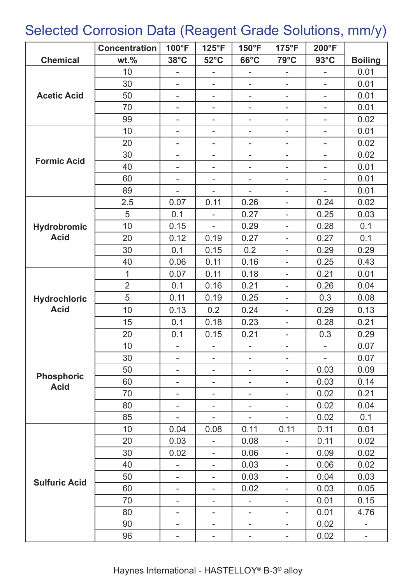# Selected Corrosion Data (Reagent Grade Solutions, mm/y)

|                                  | <b>Concentration</b> | 100°F                    | $125^{\circ}F$           | 150°F                    | $175^{\circ}F$               | 200°F                    |                |
|----------------------------------|----------------------|--------------------------|--------------------------|--------------------------|------------------------------|--------------------------|----------------|
| <b>Chemical</b>                  | $wt.$ %              | $38^{\circ}$ C           | $52^{\circ}$ C           | $66^{\circ}$ C           | $79^{\circ}$ C               | $93^{\circ}$ C           | <b>Boiling</b> |
|                                  | 10                   | ÷,                       | $\overline{\phantom{a}}$ | $\overline{\phantom{0}}$ |                              |                          | 0.01           |
|                                  | 30                   | $\overline{\phantom{a}}$ | $\overline{\phantom{a}}$ | ۰                        | ۰                            | ۰                        | 0.01           |
| <b>Acetic Acid</b>               | 50                   | $\blacksquare$           | $\overline{\phantom{a}}$ | $\overline{\phantom{0}}$ | ۰                            |                          | 0.01           |
|                                  | 70                   | -                        | -                        | -                        |                              |                          | 0.01           |
|                                  | 99                   | ÷.                       | $\overline{\phantom{0}}$ | Ξ.                       | $\blacksquare$               |                          | 0.02           |
|                                  | 10                   | ä,                       | ä,                       | $\overline{\phantom{0}}$ |                              |                          | 0.01           |
|                                  | 20                   | ÷,                       | $\overline{\phantom{0}}$ | $\overline{\phantom{0}}$ | -                            | $\blacksquare$           | 0.02           |
|                                  | 30                   | $\overline{\phantom{a}}$ | $\overline{\phantom{0}}$ | $\overline{\phantom{0}}$ | $\overline{\phantom{a}}$     | $\frac{1}{2}$            | 0.02           |
| <b>Formic Acid</b>               | 40                   | $\overline{\phantom{a}}$ | $\overline{\phantom{a}}$ | $\overline{\phantom{a}}$ | $\qquad \qquad \blacksquare$ | ۰                        | 0.01           |
|                                  | 60                   | $\overline{a}$           | -                        | ۰                        | ۰                            |                          | 0.01           |
|                                  | 89                   |                          |                          |                          |                              |                          | 0.01           |
|                                  | 2.5                  | 0.07                     | 0.11                     | 0.26                     |                              | 0.24                     | 0.02           |
|                                  | 5                    | 0.1                      | L,                       | 0.27                     | $\blacksquare$               | 0.25                     | 0.03           |
| <b>Hydrobromic</b>               | 10                   | 0.15                     | $\blacksquare$           | 0.29                     | $\blacksquare$               | 0.28                     | 0.1            |
| <b>Acid</b>                      | 20                   | 0.12                     | 0.19                     | 0.27                     | $\blacksquare$               | 0.27                     | 0.1            |
|                                  | 30                   | 0.1                      | 0.15                     | 0.2                      | ۰                            | 0.29                     | 0.29           |
|                                  | 40                   | 0.06                     | 0.11                     | 0.16                     | $\overline{\phantom{a}}$     | 0.25                     | 0.43           |
|                                  | 1                    | 0.07                     | 0.11                     | 0.18                     |                              | 0.21                     | 0.01           |
|                                  | $\overline{2}$       | 0.1                      | 0.16                     | 0.21                     | $\blacksquare$               | 0.26                     | 0.04           |
| <b>Hydrochloric</b>              | 5                    | 0.11                     | 0.19                     | 0.25                     | $\blacksquare$               | 0.3                      | 0.08           |
| <b>Acid</b>                      | 10                   | 0.13                     | 0.2                      | 0.24                     | ۰                            | 0.29                     | 0.13           |
|                                  | 15                   | 0.1                      | 0.18                     | 0.23                     | $\blacksquare$               | 0.28                     | 0.21           |
|                                  | 20                   | 0.1                      | 0.15                     | 0.21                     | $\overline{\phantom{a}}$     | 0.3                      | 0.29           |
|                                  | 10                   | $\overline{\phantom{a}}$ | $\overline{\phantom{a}}$ | $\overline{\phantom{0}}$ | $\overline{\phantom{a}}$     | $\overline{\phantom{a}}$ | 0.07           |
|                                  | 30                   | ۰                        | -                        | -                        | $\qquad \qquad \blacksquare$ |                          | 0.07           |
|                                  | 50                   | ۰                        |                          | -                        |                              | 0.03                     | 0.09           |
| <b>Phosphoric</b><br><b>Acid</b> | 60                   |                          |                          |                          |                              | 0.03                     | 0.14           |
|                                  | 70                   | ۰                        | ÷,                       | -                        | $\overline{\phantom{0}}$     | 0.02                     | 0.21           |
|                                  | 80                   | ÷,                       | ÷,                       | $\overline{\phantom{0}}$ | $\overline{\phantom{0}}$     | 0.02                     | 0.04           |
|                                  | 85                   | ÷,                       | $\blacksquare$           | ä,                       | $\frac{1}{2}$                | 0.02                     | 0.1            |
|                                  | 10                   | 0.04                     | 0.08                     | 0.11                     | 0.11                         | 0.11                     | 0.01           |
|                                  | 20                   | 0.03                     | ÷,                       | 0.08                     |                              | 0.11                     | 0.02           |
|                                  | 30                   | 0.02                     | $\overline{\phantom{0}}$ | 0.06                     | -                            | 0.09                     | 0.02           |
|                                  | 40                   |                          | ÷                        | 0.03                     | ۰                            | 0.06                     | 0.02           |
|                                  | 50                   | $\frac{1}{2}$            | ÷,                       | 0.03                     | ÷,                           | 0.04                     | 0.03           |
| <b>Sulfuric Acid</b>             | 60                   | $\overline{\phantom{0}}$ | ÷,                       | 0.02                     | $\overline{\phantom{a}}$     | 0.03                     | 0.05           |
|                                  | 70                   | $\frac{1}{2}$            | ÷,                       | -                        | $\overline{\phantom{a}}$     | 0.01                     | 0.15           |
|                                  | 80                   | -                        | -                        | $\overline{\phantom{0}}$ | $\overline{\phantom{a}}$     | 0.01                     | 4.76           |
|                                  | 90                   | ۰                        | -                        | -                        | ۰                            | 0.02                     | ۰              |
|                                  | 96                   | ۰                        |                          | ۰                        | ۰                            | 0.02                     | ٠              |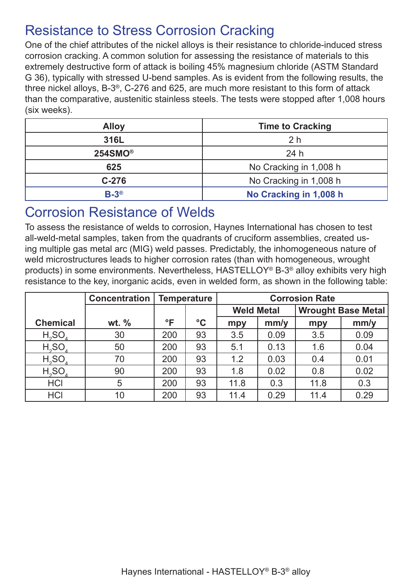### Resistance to Stress Corrosion Cracking

One of the chief attributes of the nickel alloys is their resistance to chloride-induced stress corrosion cracking. A common solution for assessing the resistance of materials to this extremely destructive form of attack is boiling 45% magnesium chloride (ASTM Standard G 36), typically with stressed U-bend samples. As is evident from the following results, the three nickel alloys, B-3®, C-276 and 625, are much more resistant to this form of attack than the comparative, austenitic stainless steels. The tests were stopped after 1,008 hours (six weeks).

| <b>Alloy</b>           | <b>Time to Cracking</b> |  |  |  |
|------------------------|-------------------------|--|--|--|
| 316L                   | 2 <sub>h</sub>          |  |  |  |
| $254$ SMO <sup>®</sup> | 24 h                    |  |  |  |
| 625                    | No Cracking in 1,008 h  |  |  |  |
| $C-276$                | No Cracking in 1,008 h  |  |  |  |
| $B-3^{\circledR}$      | No Cracking in 1,008 h  |  |  |  |

### Corrosion Resistance of Welds

To assess the resistance of welds to corrosion, Haynes International has chosen to test all-weld-metal samples, taken from the quadrants of cruciform assemblies, created using multiple gas metal arc (MIG) weld passes. Predictably, the inhomogeneous nature of weld microstructures leads to higher corrosion rates (than with homogeneous, wrought products) in some environments. Nevertheless, HASTELLOY® B-3® alloy exhibits very high resistance to the key, inorganic acids, even in welded form, as shown in the following table:

|                                | <b>Concentration</b> | <b>Temperature</b> |                 | <b>Corrosion Rate</b> |      |      |                           |
|--------------------------------|----------------------|--------------------|-----------------|-----------------------|------|------|---------------------------|
|                                |                      |                    |                 | <b>Weld Metal</b>     |      |      | <b>Wrought Base Metal</b> |
| <b>Chemical</b>                | wt. $%$              | $\mathsf{P}$       | $\rm ^{\circ}C$ | mpy                   | mm/y | mpy  | mm/y                      |
| H <sub>a</sub> SO <sub>a</sub> | 30                   | 200                | 93              | 3.5                   | 0.09 | 3.5  | 0.09                      |
| H <sub>2</sub> SO <sub>4</sub> | 50                   | 200                | 93              | 5.1                   | 0.13 | 1.6  | 0.04                      |
| H <sub>a</sub> SO <sub>a</sub> | 70                   | 200                | 93              | 1.2                   | 0.03 | 0.4  | 0.01                      |
| H <sub>2</sub> SO <sub>4</sub> | 90                   | 200                | 93              | 1.8                   | 0.02 | 0.8  | 0.02                      |
| <b>HCI</b>                     | 5                    | 200                | 93              | 11.8                  | 0.3  | 11.8 | 0.3                       |
| <b>HCI</b>                     | 10                   | 200                | 93              | 11.4                  | 0.29 | 11.4 | 0.29                      |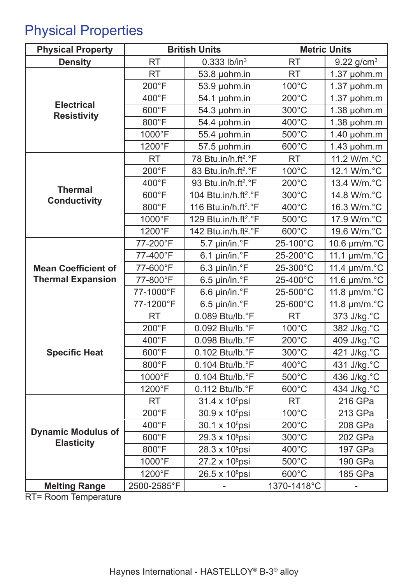# Physical Properties

| <b>Physical Property</b>                |                 | <b>British Units</b>             |                 | <b>Metric Units</b> |
|-----------------------------------------|-----------------|----------------------------------|-----------------|---------------------|
| <b>Density</b>                          | <b>RT</b>       | $0.333$ lb/in <sup>3</sup>       | <b>RT</b>       | 9.22 $g/cm^{3}$     |
|                                         | <b>RT</b>       | 53.8 µohm.in                     | <b>RT</b>       | $1.37$ µohm.m       |
|                                         | $200^{\circ}F$  | 53.9 µohm.in                     | $100^{\circ}$ C | $1.37$ µohm.m       |
|                                         | 400°F           | 54.1 µohm.in                     | $200^{\circ}$ C | $1.37$ µohm.m       |
| <b>Electrical</b><br><b>Resistivity</b> | 600°F           | 54.3 µohm.in                     | 300°C           | $1.38$ µohm.m       |
|                                         | 800°F           | 54.4 µohm.in                     | 400°C           | $1.38$ µohm.m       |
|                                         | 1000°F          | 55.4 µohm.in                     | 500°C           | $1.40$ µohm.m       |
|                                         | 1200°F          | 57.5 µohm.in                     | 600°C           | $1.43$ µohm.m       |
|                                         | <b>RT</b>       | 78 Btu.in/h.ft <sup>2</sup> .°F  | <b>RT</b>       | 11.2 W/m.°C         |
|                                         | $200^{\circ}F$  | 83 Btu.in/h.ft <sup>2</sup> .°F  | $100^{\circ}$ C | 12.1 W/m.°C         |
| <b>Thermal</b>                          | 400°F           | 93 Btu.in/h.ft <sup>2</sup> .°F  | $200^{\circ}$ C | 13.4 W/m.°C         |
| <b>Conductivity</b>                     | 600°F           | 104 Btu.in/h.ft <sup>2</sup> .°F | 300°C           | 14.8 W/m.°C         |
|                                         | 800°F           | 116 Btu.in/h.ft <sup>2</sup> .°F | 400°C           | 16.3 W/m.°C         |
|                                         | 1000°F          | 129 Btu.in/h.ft <sup>2</sup> .°F | 500°C           | 17.9 W/m.°C         |
|                                         | 1200°F          | 142 Btu.in/h.ft <sup>2</sup> .°F | 600°C           | 19.6 W/m.°C         |
|                                         | 77-200°F        | 5.7 µin/in.°F                    | 25-100°C        | 10.6 µm/m.°C        |
|                                         | 77-400°F        | $6.1$ µin/in. $\degree$ F        | 25-200°C        | 11.1 µm/m.°C        |
| <b>Mean Coefficient of</b>              | 77-600°F        | 6.3 µin/in.°F                    | 25-300°C        | 11.4 µm/m.°C        |
| <b>Thermal Expansion</b>                | 77-800°F        | 6.5 µin/in.°F                    | 25-400°C        | 11.6 µm/m.°C        |
|                                         | 77-1000°F       | 6.6 µin/in.°F                    | 25-500°C        | 11.8 µm/m.°C        |
|                                         | 77-1200°F       | $6.5 \mu$ in/in. $\degree$ F     | 25-600°C        | 11.8 µm/m.°C        |
|                                         | <b>RT</b>       | 0.089 Btu/lb.°F                  | <b>RT</b>       | 373 J/kg.°C         |
|                                         | $200^{\circ}$ F | 0.092 Btu/lb.°F                  | $100^{\circ}$ C | 382 J/kg.°C         |
|                                         | 400°F           | 0.098 Btu/lb.°F                  | $200^{\circ}$ C | 409 J/kg.°C         |
| <b>Specific Heat</b>                    | 600°F           | 0.102 Btu/lb.°F                  | 300°C           | 421 J/kg.°C         |
|                                         | 800°F           | 0.104 Btu/lb.°F                  | $400^{\circ}$ C | 431 J/kg.°C         |
|                                         | 1000°F          | 0.104 Btu/lb.°F                  | $500^{\circ}$ C | 436 J/kg.°C         |
|                                         | 1200°F          | $0.112$ Btu/lb. $\degree$ F      | $600^{\circ}$ C | 434 J/kg.°C         |
|                                         | <b>RT</b>       | $31.4 \times 10^6$ psi           | <b>RT</b>       | 216 GPa             |
|                                         | $200^{\circ}F$  | 30.9 x 10 <sup>6</sup> psi       | 100°C           | 213 GPa             |
| <b>Dynamic Modulus of</b>               | $400^{\circ}F$  | 30.1 x 10 <sup>6</sup> psi       | $200^{\circ}$ C | 208 GPa             |
| <b>Elasticity</b>                       | 600°F           | 29.3 x 10 <sup>6</sup> psi       | 300°C           | 202 GPa             |
|                                         | 800°F           | 28.3 x 10 <sup>6</sup> psi       | 400°C           | 197 GPa             |
|                                         | 1000°F          | $27.2 \times 10^6$ psi           | 500°C           | 190 GPa             |
|                                         | 1200°F          | $26.5 \times 10^6$ psi           | $600^{\circ}$ C | 185 GPa             |
| <b>Melting Range</b>                    | 2500-2585°F     |                                  | 1370-1418°C     |                     |

RT= Room Temperature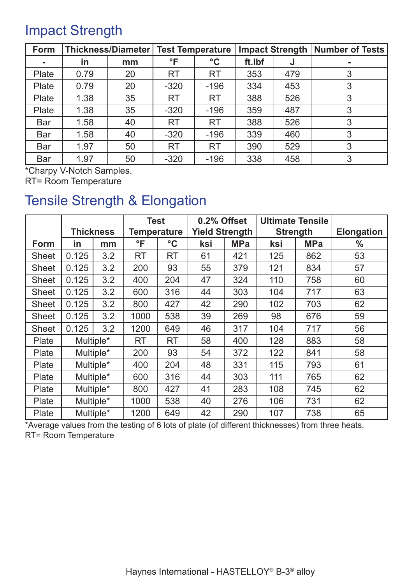### Impact Strength

| Form         |      | <b>Thickness/Diameter</b> | <b>Test Temperature</b> |                 | <b>Impact Strength</b> |     | <b>Number of Tests</b> |
|--------------|------|---------------------------|-------------------------|-----------------|------------------------|-----|------------------------|
|              | in   | mm                        | °F                      | $\rm ^{\circ}C$ | ft.Ibf                 |     |                        |
| Plate        | 0.79 | 20                        | <b>RT</b>               | <b>RT</b>       | 353                    | 479 | 3                      |
| <b>Plate</b> | 0.79 | 20                        | $-320$                  | $-196$          | 334                    | 453 | 3                      |
| Plate        | 1.38 | 35                        | <b>RT</b>               | <b>RT</b>       | 388                    | 526 | 3                      |
| <b>Plate</b> | 1.38 | 35                        | $-320$                  | $-196$          | 359                    | 487 | 3                      |
| <b>Bar</b>   | 1.58 | 40                        | <b>RT</b>               | <b>RT</b>       | 388                    | 526 |                        |
| <b>Bar</b>   | 1.58 | 40                        | $-320$                  | $-196$          | 339                    | 460 | 3                      |
| <b>Bar</b>   | 1.97 | 50                        | <b>RT</b>               | <b>RT</b>       | 390                    | 529 | 3                      |
| <b>Bar</b>   | 1.97 | 50                        | $-320$                  | $-196$          | 338                    | 458 | 3                      |

\*Charpy V-Notch Samples.

RT= Room Temperature

### Tensile Strength & Elongation

|              |           |     | <b>Test</b> |                 | 0.2% Offset           |            | <b>Ultimate Tensile</b> |            |                   |
|--------------|-----------|-----|-------------|-----------------|-----------------------|------------|-------------------------|------------|-------------------|
|              | Thickness |     | Temperature |                 | <b>Yield Strength</b> |            | <b>Strength</b>         |            | <b>Elongation</b> |
| Form         | in        | mm  | °F          | $\rm ^{\circ}C$ | ksi                   | <b>MPa</b> | ksi                     | <b>MPa</b> | $\frac{0}{0}$     |
| <b>Sheet</b> | 0.125     | 3.2 | <b>RT</b>   | <b>RT</b>       | 61                    | 421        | 125                     | 862        | 53                |
| <b>Sheet</b> | 0.125     | 3.2 | 200         | 93              | 55                    | 379        | 121                     | 834        | 57                |
| <b>Sheet</b> | 0.125     | 3.2 | 400         | 204             | 47                    | 324        | 110                     | 758        | 60                |
| <b>Sheet</b> | 0.125     | 3.2 | 600         | 316             | 44                    | 303        | 104                     | 717        | 63                |
| <b>Sheet</b> | 0.125     | 3.2 | 800         | 427             | 42                    | 290        | 102                     | 703        | 62                |
| <b>Sheet</b> | 0.125     | 3.2 | 1000        | 538             | 39                    | 269        | 98                      | 676        | 59                |
| <b>Sheet</b> | 0.125     | 3.2 | 1200        | 649             | 46                    | 317        | 104                     | 717        | 56                |
| Plate        | Multiple* |     | <b>RT</b>   | <b>RT</b>       | 58                    | 400        | 128                     | 883        | 58                |
| Plate        | Multiple* |     | 200         | 93              | 54                    | 372        | 122                     | 841        | 58                |
| Plate        | Multiple* |     | 400         | 204             | 48                    | 331        | 115                     | 793        | 61                |
| Plate        | Multiple* |     | 600         | 316             | 44                    | 303        | 111                     | 765        | 62                |
| Plate        | Multiple* |     | 800         | 427             | 41                    | 283        | 108                     | 745        | 62                |
| Plate        | Multiple* |     | 1000        | 538             | 40                    | 276        | 106                     | 731        | 62                |
| Plate        | Multiple* |     | 1200        | 649             | 42                    | 290        | 107                     | 738        | 65                |

\*Average values from the testing of 6 lots of plate (of different thicknesses) from three heats. RT= Room Temperature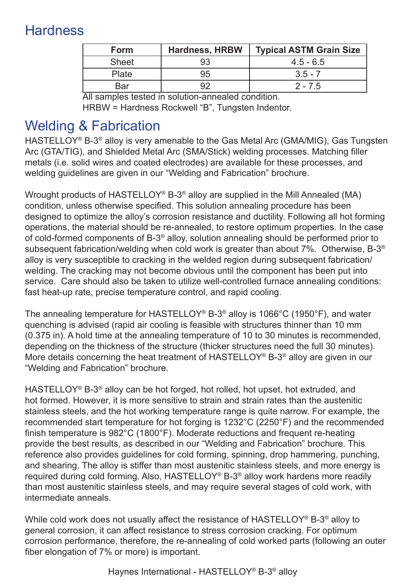# **Hardness**

| <b>Form</b>  | <b>Hardness, HRBW</b> | <b>Typical ASTM Grain Size</b> |
|--------------|-----------------------|--------------------------------|
| <b>Sheet</b> | 93                    | $4.5 - 6.5$                    |
| Plate        | 95                    | $3.5 - 7$                      |
| <b>Bar</b>   |                       | $2 - 7.5$                      |

All samples tested in solution-annealed condition. HRBW = Hardness Rockwell "B", Tungsten Indentor.

# Welding & Fabrication

HASTELLOY® B-3® alloy is very amenable to the Gas Metal Arc (GMA/MIG), Gas Tungsten Arc (GTA/TIG), and Shielded Metal Arc (SMA/Stick) welding processes. Matching filler metals (i.e. solid wires and coated electrodes) are available for these processes, and welding guidelines are given in our "Welding and Fabrication" brochure.

Wrought products of HASTELLOY® B-3® alloy are supplied in the Mill Annealed (MA) condition, unless otherwise specified. This solution annealing procedure has been designed to optimize the alloy's corrosion resistance and ductility. Following all hot forming operations, the material should be re-annealed, to restore optimum properties. In the case of cold-formed components of B-3® alloy, solution annealing should be performed prior to subsequent fabrication/welding when cold work is greater than about 7%. Otherwise, B-3<sup>®</sup> alloy is very susceptible to cracking in the welded region during subsequent fabrication/ welding. The cracking may not become obvious until the component has been put into service. Care should also be taken to utilize well-controlled furnace annealing conditions: fast heat-up rate, precise temperature control, and rapid cooling.

The annealing temperature for HASTELLOY® B-3® alloy is 1066°C (1950°F), and water quenching is advised (rapid air cooling is feasible with structures thinner than 10 mm (0.375 in). A hold time at the annealing temperature of 10 to 30 minutes is recommended, depending on the thickness of the structure (thicker structures need the full 30 minutes). More details concerning the heat treatment of HASTELLOY® B-3® alloy are given in our "Welding and Fabrication" brochure.

HASTELLOY® B-3® alloy can be hot forged, hot rolled, hot upset, hot extruded, and hot formed. However, it is more sensitive to strain and strain rates than the austenitic stainless steels, and the hot working temperature range is quite narrow. For example, the recommended start temperature for hot forging is 1232°C (2250°F) and the recommended finish temperature is 982°C (1800°F). Moderate reductions and frequent re-heating provide the best results, as described in our "Welding and Fabrication" brochure. This reference also provides guidelines for cold forming, spinning, drop hammering, punching, and shearing. The alloy is stiffer than most austenitic stainless steels, and more energy is required during cold forming. Also, HASTELLOY® B-3® alloy work hardens more readily than most austenitic stainless steels, and may require several stages of cold work, with intermediate anneals.

While cold work does not usually affect the resistance of HASTELLOY<sup>®</sup> B-3<sup>®</sup> alloy to general corrosion, it can affect resistance to stress corrosion cracking. For optimum corrosion performance, therefore, the re-annealing of cold worked parts (following an outer fiber elongation of 7% or more) is important.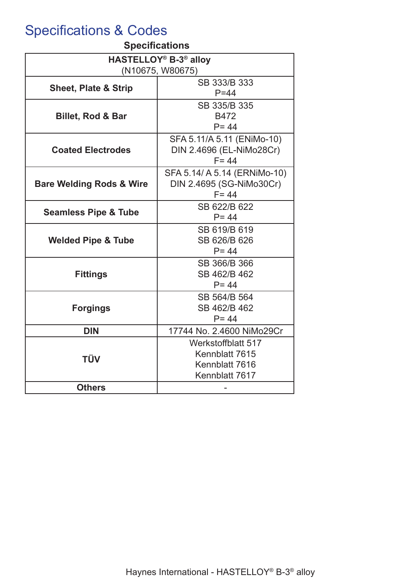# Specifications & Codes

| HASTELLOY <sup>®</sup> B-3 <sup>®</sup> alloy<br>(N10675, W80675)<br>SB 333/B 333<br><b>Sheet, Plate &amp; Strip</b><br>$P = 44$<br>SB 335/B 335<br><b>B472</b><br><b>Billet, Rod &amp; Bar</b><br>$P = 44$<br>SFA 5.11/A 5.11 (ENiMo-10)<br>DIN 2.4696 (EL-NiMo28Cr)<br><b>Coated Electrodes</b><br>$F = 44$ | <b>Specifications</b>               |  |  |  |  |
|---------------------------------------------------------------------------------------------------------------------------------------------------------------------------------------------------------------------------------------------------------------------------------------------------------------|-------------------------------------|--|--|--|--|
|                                                                                                                                                                                                                                                                                                               |                                     |  |  |  |  |
|                                                                                                                                                                                                                                                                                                               |                                     |  |  |  |  |
|                                                                                                                                                                                                                                                                                                               |                                     |  |  |  |  |
|                                                                                                                                                                                                                                                                                                               |                                     |  |  |  |  |
|                                                                                                                                                                                                                                                                                                               |                                     |  |  |  |  |
|                                                                                                                                                                                                                                                                                                               |                                     |  |  |  |  |
|                                                                                                                                                                                                                                                                                                               |                                     |  |  |  |  |
|                                                                                                                                                                                                                                                                                                               |                                     |  |  |  |  |
|                                                                                                                                                                                                                                                                                                               |                                     |  |  |  |  |
|                                                                                                                                                                                                                                                                                                               |                                     |  |  |  |  |
| SFA 5.14/ A 5.14 (ERNIMo-10)                                                                                                                                                                                                                                                                                  | <b>Bare Welding Rods &amp; Wire</b> |  |  |  |  |
| DIN 2.4695 (SG-NiMo30Cr)                                                                                                                                                                                                                                                                                      |                                     |  |  |  |  |
| $F = 44$                                                                                                                                                                                                                                                                                                      |                                     |  |  |  |  |
| SB 622/B 622                                                                                                                                                                                                                                                                                                  | <b>Seamless Pipe &amp; Tube</b>     |  |  |  |  |
| $P = 44$                                                                                                                                                                                                                                                                                                      |                                     |  |  |  |  |
| SB 619/B 619                                                                                                                                                                                                                                                                                                  | <b>Welded Pipe &amp; Tube</b>       |  |  |  |  |
| SB 626/B 626                                                                                                                                                                                                                                                                                                  |                                     |  |  |  |  |
| $P = 44$                                                                                                                                                                                                                                                                                                      |                                     |  |  |  |  |
| SB 366/B 366                                                                                                                                                                                                                                                                                                  |                                     |  |  |  |  |
| SB 462/B 462<br><b>Fittings</b>                                                                                                                                                                                                                                                                               |                                     |  |  |  |  |
| $P = 44$                                                                                                                                                                                                                                                                                                      |                                     |  |  |  |  |
| SB 564/B 564                                                                                                                                                                                                                                                                                                  | <b>Forgings</b>                     |  |  |  |  |
| SB 462/B 462                                                                                                                                                                                                                                                                                                  |                                     |  |  |  |  |
| $P = 44$                                                                                                                                                                                                                                                                                                      |                                     |  |  |  |  |
| 17744 No. 2.4600 NiMo29Cr<br><b>DIN</b>                                                                                                                                                                                                                                                                       |                                     |  |  |  |  |
| Werkstoffblatt 517                                                                                                                                                                                                                                                                                            | TÜV                                 |  |  |  |  |
| Kennblatt 7615                                                                                                                                                                                                                                                                                                |                                     |  |  |  |  |
| Kennblatt 7616                                                                                                                                                                                                                                                                                                |                                     |  |  |  |  |
| Kennblatt 7617                                                                                                                                                                                                                                                                                                |                                     |  |  |  |  |
| <b>Others</b>                                                                                                                                                                                                                                                                                                 |                                     |  |  |  |  |